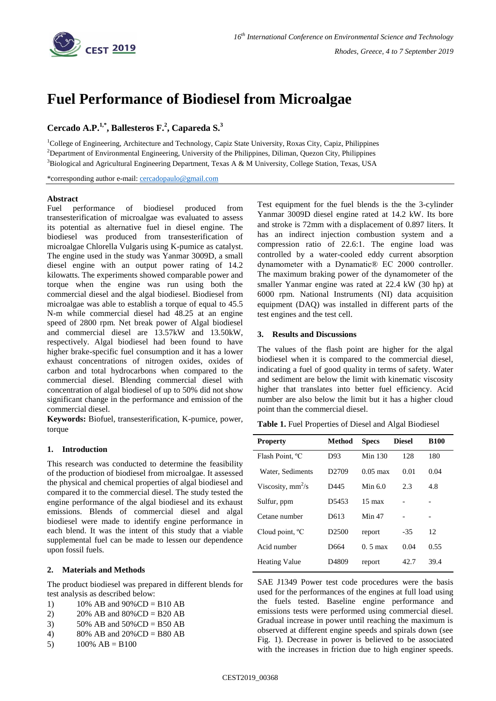

# **Fuel Performance of Biodiesel from Microalgae**

## **Cercado A.P.1,\* , Ballesteros F. 2 , Capareda S. 3**

<sup>1</sup>College of Engineering, Architecture and Technology, Capiz State University, Roxas City, Capiz, Philippines <sup>2</sup>Department of Environmental Engineering, University of the Philippines, Diliman, Quezon City, Philippines <sup>3</sup>Biological and Agricultural Engineering Department, Texas A & M University, College Station, Texas, USA

\*corresponding author e-mail: [cercadopaulo@gmail.com](mailto:cercadopaulo@gmail.com)

## **Abstract**

Fuel performance of biodiesel produced from transesterification of microalgae was evaluated to assess its potential as alternative fuel in diesel engine. The biodiesel was produced from transesterification of microalgae Chlorella Vulgaris using K-pumice as catalyst. The engine used in the study was Yanmar 3009D, a small diesel engine with an output power rating of 14.2 kilowatts. The experiments showed comparable power and torque when the engine was run using both the commercial diesel and the algal biodiesel. Biodiesel from microalgae was able to establish a torque of equal to 45.5 N-m while commercial diesel had 48.25 at an engine speed of 2800 rpm. Net break power of Algal biodiesel and commercial diesel are 13.57kW and 13.50kW, respectively. Algal biodiesel had been found to have higher brake-specific fuel consumption and it has a lower exhaust concentrations of nitrogen oxides, oxides of carbon and total hydrocarbons when compared to the commercial diesel. Blending commercial diesel with concentration of algal biodiesel of up to 50% did not show significant change in the performance and emission of the commercial diesel.

**Keywords:** Biofuel, transesterification, K-pumice, power, torque

#### **1. Introduction**

This research was conducted to determine the feasibility of the production of biodiesel from microalgae. It assessed the physical and chemical properties of algal biodiesel and compared it to the commercial diesel. The study tested the engine performance of the algal biodiesel and its exhaust emissions. Blends of commercial diesel and algal biodiesel were made to identify engine performance in each blend. It was the intent of this study that a viable supplemental fuel can be made to lessen our dependence upon fossil fuels.

## **2. Materials and Methods**

The product biodiesel was prepared in different blends for test analysis as described below:

- 1)  $10\%$  AB and  $90\%$ CD = B10 AB
- 2)  $20\%$  AB and  $80\%$ CD = B20 AB
- 3)  $50\%$  AB and  $50\%$ CD = B50 AB
- 4) 80% AB and  $20\%$  CD = B80 AB
- 5)  $100\% AB = B100$

Test equipment for the fuel blends is the the 3-cylinder Yanmar 3009D diesel engine rated at 14.2 kW. Its bore and stroke is 72mm with a displacement of 0.897 liters. It has an indirect injection combustion system and a compression ratio of 22.6:1. The engine load was controlled by a water-cooled eddy current absorption dynamometer with a Dynamatic® EC 2000 controller. The maximum braking power of the dynamometer of the smaller Yanmar engine was rated at 22.4 kW (30 hp) at 6000 rpm. National Instruments (NI) data acquisition equipment (DAQ) was installed in different parts of the test engines and the test cell.

## **3. Results and Discussions**

The values of the flash point are higher for the algal biodiesel when it is compared to the commercial diesel, indicating a fuel of good quality in terms of safety. Water and sediment are below the limit with kinematic viscosity higher that translates into better fuel efficiency. Acid number are also below the limit but it has a higher cloud point than the commercial diesel.

**Table 1.** Fuel Properties of Diesel and Algal Biodiesel

| <b>Property</b>             | <b>Method</b>     | <b>Specs</b>       | <b>Diesel</b> | <b>B100</b> |
|-----------------------------|-------------------|--------------------|---------------|-------------|
| Flash Point, <sup>o</sup> C | D93               | Min 130            | 128           | 180         |
| Water, Sediments            | D <sub>2709</sub> | $0.05 \text{ max}$ | 0.01          | 0.04        |
| Viscosity, $mm^2/s$         | D445              | Min $6.0$          | 2.3           | 4.8         |
| Sulfur, ppm                 | D <sub>5453</sub> | $15 \text{ max}$   |               |             |
| Cetane number               | D613              | Min 47             |               |             |
| Cloud point, $^{\circ}$ C   | D <sub>2500</sub> | report             | $-35$         | 12          |
| Acid number                 | D664              | $0.5 \text{ max}$  | 0.04          | 0.55        |
| <b>Heating Value</b>        | D <sub>4809</sub> | report             | 42.7          | 39.4        |

SAE J1349 Power test code procedures were the basis used for the performances of the engines at full load using the fuels tested. Baseline engine performance and emissions tests were performed using commercial diesel. Gradual increase in power until reaching the maximum is observed at different engine speeds and spirals down (see Fig. 1). Decrease in power is believed to be associated with the increases in friction due to high enginer speeds.